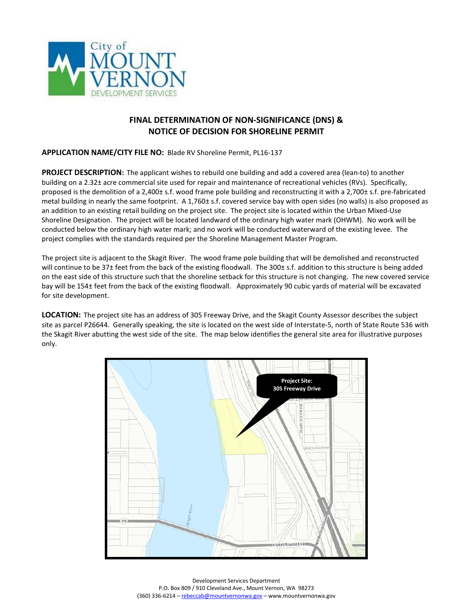

## **FINAL DETERMINATION OF NON-SIGNIFICANCE (DNS) & NOTICE OF DECISION FOR SHORELINE PERMIT**

## **APPLICATION NAME/CITY FILE NO:** Blade RV Shoreline Permit, PL16-137

**PROJECT DESCRIPTION:** The applicant wishes to rebuild one building and add a covered area (lean-to) to another building on a 2.32± acre commercial site used for repair and maintenance of recreational vehicles (RVs). Specifically, proposed is the demolition of a 2,400± s.f. wood frame pole building and reconstructing it with a 2,700± s.f. pre-fabricated metal building in nearly the same footprint. A 1,760± s.f. covered service bay with open sides (no walls) is also proposed as an addition to an existing retail building on the project site. The project site is located within the Urban Mixed-Use Shoreline Designation. The project will be located landward of the ordinary high water mark (OHWM). No work will be conducted below the ordinary high water mark; and no work will be conducted waterward of the existing levee. The project complies with the standards required per the Shoreline Management Master Program.

The project site is adjacent to the Skagit River. The wood frame pole building that will be demolished and reconstructed will continue to be 37± feet from the back of the existing floodwall. The 300± s.f. addition to this structure is being added on the east side of this structure such that the shoreline setback for this structure is not changing. The new covered service bay will be 154± feet from the back of the existing floodwall. Approximately 90 cubic yards of material will be excavated for site development.

**LOCATION:** The project site has an address of 305 Freeway Drive, and the Skagit County Assessor describes the subject site as parcel P26644. Generally speaking, the site is located on the west side of Interstate-5, north of State Route 536 with the Skagit River abutting the west side of the site. The map below identifies the general site area for illustrative purposes only.